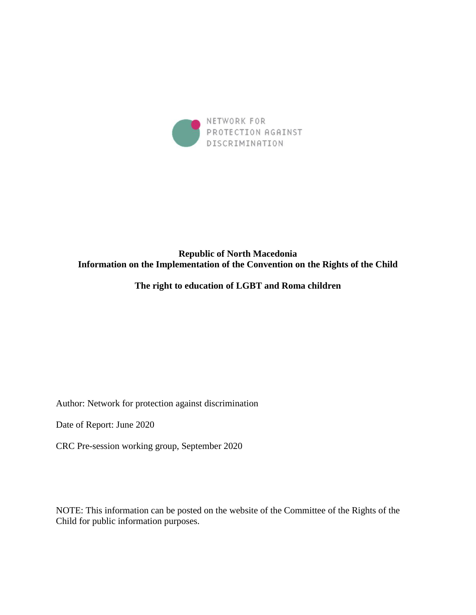

# **Republic of North Macedonia Information on the Implementation of the Convention on the Rights of the Child**

# **The right to education of LGBT and Roma children**

Author: Network for protection against discrimination

Date of Report: June 2020

CRC Pre-session working group, September 2020

NOTE: This information can be posted on the website of the Committee of the Rights of the Child for public information purposes.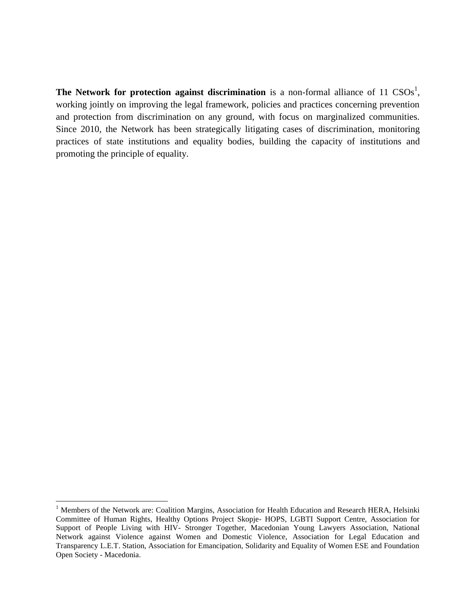**The Network for protection against discrimination** is a non-formal alliance of 11 CSOs<sup>1</sup>, working jointly on improving the legal framework, policies and practices concerning prevention and protection from discrimination on any ground, with focus on marginalized communities. Since 2010, the Network has been strategically litigating cases of discrimination, monitoring practices of state institutions and equality bodies, building the capacity of institutions and promoting the principle of equality.

l

<sup>&</sup>lt;sup>1</sup> Members of the Network are: Coalition Margins, Association for Health Education and Research HERA, Helsinki Committee of Human Rights, Healthy Options Project Skopje- HOPS, LGBTI Support Centre, Association for Support of People Living with HIV- Stronger Together, Macedonian Young Lawyers Association, National Network against Violence against Women and Domestic Violence, Association for Legal Education and Transparency L.E.T. Station, Association for Emancipation, Solidarity and Equality of Women ESE and Foundation Open Society - Macedonia.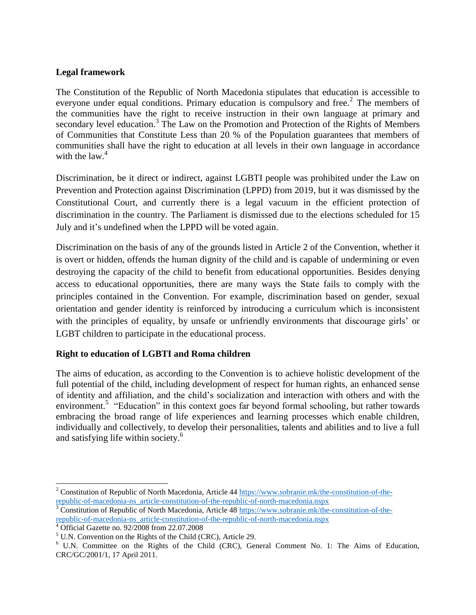## **Legal framework**

The Constitution of the Republic of North Macedonia stipulates that education is accessible to everyone under equal conditions. Primary education is compulsory and free.<sup>2</sup> The members of the communities have the right to receive instruction in their own language at primary and secondary level education.<sup>3</sup> The Law on the Promotion and Protection of the Rights of Members of Communities that Constitute Less than 20 % of the Population guarantees that members of communities shall have the right to education at all levels in their own language in accordance with the law.<sup>4</sup>

Discrimination, be it direct or indirect, against LGBTI people was prohibited under the Law on Prevention and Protection against Discrimination (LPPD) from 2019, but it was dismissed by the Constitutional Court, and currently there is a legal vacuum in the efficient protection of discrimination in the country. The Parliament is dismissed due to the elections scheduled for 15 July and it"s undefined when the LPPD will be voted again.

Discrimination on the basis of any of the grounds listed in Article 2 of the Convention, whether it is overt or hidden, offends the human dignity of the child and is capable of undermining or even destroying the capacity of the child to benefit from educational opportunities. Besides denying access to educational opportunities, there are many ways the Statе fails to comply with the principles contained in the Convention. For example, discrimination based on gender, sexual orientation and gender identity is reinforced by introducing a curriculum which is inconsistent with the principles of equality, by unsafe or unfriendly environments that discourage girls' or LGBT children to participate in the educational process.

# **Right to education of LGBTI and Roma children**

The aims of education, as according to the Convention is to achieve holistic development of the full potential of the child, including development of respect for human rights, an enhanced sense of identity and affiliation, and the child"s socialization and interaction with others and with the environment.<sup>5</sup> "Education" in this context goes far beyond formal schooling, but rather towards embracing the broad range of life experiences and learning processes which enable children, individually and collectively, to develop their personalities, talents and abilities and to live a full and satisfying life within society.<sup>6</sup>

 $\overline{a}$ <sup>2</sup> Constitution of Republic of North Macedonia, Article 44 [https://www.sobranie.mk/the-constitution-of-the](https://www.sobranie.mk/the-constitution-of-the-republic-of-macedonia-ns_article-constitution-of-the-republic-of-north-macedonia.nspx)[republic-of-macedonia-ns\\_article-constitution-of-the-republic-of-north-macedonia.nspx](https://www.sobranie.mk/the-constitution-of-the-republic-of-macedonia-ns_article-constitution-of-the-republic-of-north-macedonia.nspx) <sup>3</sup> Constitution of Republic of North Macedonia, Article 48 [https://www.sobranie.mk/the-constitution-of-the](https://www.sobranie.mk/the-constitution-of-the-republic-of-macedonia-ns_article-constitution-of-the-republic-of-north-macedonia.nspx)[republic-of-macedonia-ns\\_article-constitution-of-the-republic-of-north-macedonia.nspx](https://www.sobranie.mk/the-constitution-of-the-republic-of-macedonia-ns_article-constitution-of-the-republic-of-north-macedonia.nspx)

<sup>4</sup> Official Gazette no. 92/2008 from 22.07.2008

<sup>5</sup> U.N. Convention on the Rights of the Child (CRC), Article 29.

<sup>6</sup> U.N. Committee on the Rights of the Child (CRC), General Comment No. 1: The Aims of Education, CRC/GC/2001/1, 17 April 2011.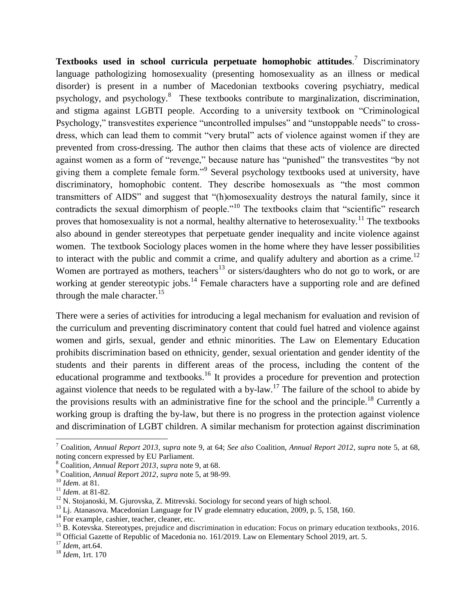**Textbooks used in school curricula perpetuate homophobic attitudes**. <sup>7</sup> Discriminatory language pathologizing homosexuality (presenting homosexuality as an illness or medical disorder) is present in a number of Macedonian textbooks covering psychiatry, medical psychology, and psychology.<sup>8</sup> These textbooks contribute to marginalization, discrimination, and stigma against LGBTI people. According to a university textbook on "Criminological Psychology," transvestites experience "uncontrolled impulses" and "unstoppable needs" to crossdress, which can lead them to commit "very brutal" acts of violence against women if they are prevented from cross-dressing. The author then claims that these acts of violence are directed against women as a form of "revenge," because nature has "punished" the transvestites "by not giving them a complete female form."<sup>9</sup> Several psychology textbooks used at university, have discriminatory, homophobic content. They describe homosexuals as "the most common transmitters of AIDS" and suggest that "(h)omosexuality destroys the natural family, since it contradicts the sexual dimorphism of people."<sup>10</sup> The textbooks claim that "scientific" research proves that homosexuality is not a normal, healthy alternative to heterosexuality.<sup>11</sup> The textbooks also abound in gender stereotypes that perpetuate gender inequality and incite violence against women. The textbook Sociology places women in the home where they have lesser possibilities to interact with the public and commit a crime, and qualify adultery and abortion as a crime.<sup>12</sup> Women are portrayed as mothers, teachers<sup>13</sup> or sisters/daughters who do not go to work, or are working at gender stereotypic jobs.<sup>14</sup> Female characters have a supporting role and are defined through the male character.<sup>15</sup>

There were a series of activities for introducing a legal mechanism for evaluation and revision of the curriculum and preventing discriminatory content that could fuel hatred and violence against women and girls, sexual, gender and ethnic minorities. The Law on Elementary Education prohibits discrimination based on ethnicity, gender, sexual orientation and gender identity of the students and their parents in different areas of the process, including the content of the educational programme and textbooks.<sup>16</sup> It provides a procedure for prevention and protection against violence that needs to be regulated with a by-law.<sup>17</sup> The failure of the school to abide by the provisions results with an administrative fine for the school and the principle.<sup>18</sup> Currently a working group is drafting the by-law, but there is no progress in the protection against violence and discrimination of LGBT children. A similar mechanism for protection against discrimination

 $\overline{\phantom{a}}$ 

<sup>16</sup> Official Gazette of Republic of Macedonia no. 161/2019. Law on Elementary School 2019, art. 5.

<sup>7</sup> Coalition, *Annual Report 2013*, *supra* note 9, at 64; *See also* Coalition, *Annual Report 2012*, *supra* note 5, at 68, noting concern expressed by EU Parliament.

<sup>8</sup> Coalition, *Annual Report 2013*, *supra* note 9, at 68.

<sup>9</sup> Coalition, *Annual Report 2012*, *supra* note 5, at 98-99.

<sup>10</sup> *Idem*. at 81.

<sup>11</sup> *Idem*. at 81-82.

 $12$  N. Stojanoski, M. Gjurovska, Z. Mitrevski. Sociology for second years of high school.

 $^{13}$  Lj. Atanasova. Macedonian Language for IV grade elemnatry education, 2009, p. 5, 158, 160.

<sup>&</sup>lt;sup>14</sup> For example, cashier, teacher, cleaner, etc.

<sup>&</sup>lt;sup>15</sup> B. Kotevska. Stereotypes, prejudice and discrimination in education: Focus on primary education textbooks, 2016.

<sup>17</sup> *Idem*, art.64.

<sup>18</sup> *Idem*, 1rt. 170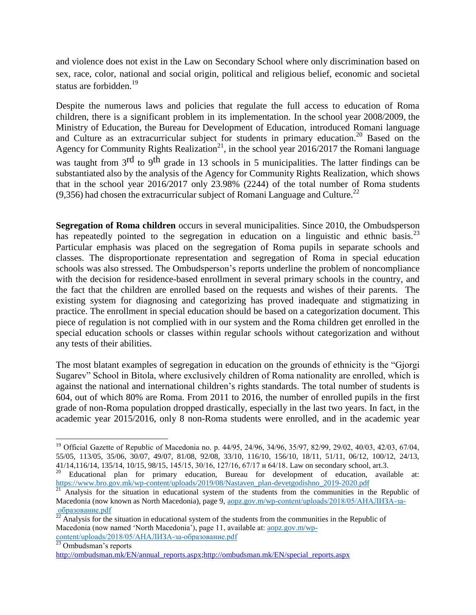and violence does not exist in the Law on Secondary School where only discrimination based on sex, race, color, national and social origin, political and religious belief, economic and societal status are forbidden. $19$ 

Despite the numerous laws and policies that regulate the full access to education of Roma children, there is a significant problem in its implementation. In the school year 2008/2009, the Ministry of Education, the Bureau for Development of Education, introduced Romani language and Culture as an extracurricular subject for students in primary education.<sup>20</sup> Based on the Agency for Community Rights Realization<sup>21</sup>, in the school year 2016/2017 the Romani language was taught from 3<sup>rd</sup> to 9<sup>th</sup> grade in 13 schools in 5 municipalities. The latter findings can be substantiated also by the analysis of the Agency for Community Rights Realization, which shows that in the school year 2016/2017 only 23.98% (2244) of the total number of Roma students (9,356) had chosen the extracurricular subject of Romani Language and Culture.<sup>22</sup>

**Segregation of Roma children** occurs in several municipalities. Since 2010, the Ombudsperson has repeatedly pointed to the segregation in education on a linguistic and ethnic basis.<sup>23</sup> Particular emphasis was placed on the segregation of Roma pupils in separate schools and classes. The disproportionate representation and segregation of Roma in special education schools was also stressed. The Ombudsperson's reports underline the problem of noncompliance with the decision for residence-based enrollment in several primary schools in the country, and the fact that the children are enrolled based on the requests and wishes of their parents. The existing system for diagnosing and categorizing has proved inadequate and stigmatizing in practice. The enrollment in special education should be based on a categorization document. This piece of regulation is not complied with in our system and the Roma children get enrolled in the special education schools or classes within regular schools without categorization and without any tests of their abilities.

The most blatant examples of segregation in education on the grounds of ethnicity is the "Gjorgi Sugarev" School in Bitola, where exclusively children of Roma nationality are enrolled, which is against the national and international children"s rights standards. The total number of students is 604, out of which 80% are Roma. From 2011 to 2016, the number of enrolled pupils in the first grade of non-Roma population dropped drastically, especially in the last two years. In fact, in the academic year 2015/2016, only 8 non-Roma students were enrolled, and in the academic year

<sup>23</sup> Ombudsman's reports

 $\overline{\phantom{a}}$ 

<sup>&</sup>lt;sup>19</sup> Official Gazette of Republic of Macedonia no. p. 44/95, 24/96, 34/96, 35/97, 82/99, 29/02, 40/03, 42/03, 67/04, 55/05, 113/05, 35/06, 30/07, 49/07, 81/08, 92/08, 33/10, 116/10, 156/10, 18/11, 51/11, 06/12, 100/12, 24/13, 41/14,116/14, 135/14, 10/15, 98/15, 145/15, 30/16, 127/16, 67/17 и 64/18. Law on secondary school, art.3.

Educational plan for primary education, Bureau for development of education, available at: [https://www.bro.gov.mk/wp-content/uploads/2019/08/Nastaven\\_plan-devetgodishno\\_2019-2020.pdf](https://www.bro.gov.mk/wp-content/uploads/2019/08/Nastaven_plan-devetgodishno_2019-2020.pdf)

Analysis for the situation in educational system of the students from the communities in the Republic of Macedonia (now known as North Macedonia), page 9, aopz.gov.m/wp-content/uploads/2018/05/АНАЛИЗА-заобразование.pdf

 $^{22}$  Analysis for the situation in educational system of the students from the communities in the Republic of Macedonia (now named "North Macedonia"), page 11, available at: aopz.gov.m/wpcontent/uploads/2018/05/АНАЛИЗА-за-образование.pdf

[http://ombudsman.mk/EN/annual\\_reports.aspx](http://ombudsman.mk/EN/annual_reports.aspx)[;http://ombudsman.mk/EN/special\\_reports.aspx](http://ombudsman.mk/EN/special_reports.aspx)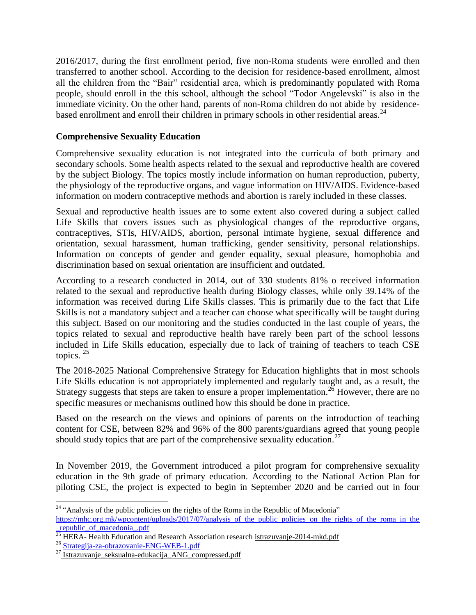2016/2017, during the first enrollment period, five non-Roma students were enrolled and then transferred to another school. According to the decision for residence-based enrollment, almost all the children from the "Bair" residential area, which is predominantly populated with Roma people, should enroll in the this school, although the school "Todor Angelevski" is also in the immediate vicinity. On the other hand, parents of non-Roma children do not abide by residencebased enrollment and enroll their children in primary schools in other residential areas.<sup>24</sup>

## **Comprehensive Sexuality Education**

Comprehensive sexuality education is not integrated into the curricula of both primary and secondary schools. Some health aspects related to the sexual and reproductive health are covered by the subject Biology. The topics mostly include information on human reproduction, puberty, the physiology of the reproductive organs, and vague information on HIV/AIDS. Evidence-based information on modern contraceptive methods and abortion is rarely included in these classes.

Sexual and reproductive health issues are to some extent also covered during a subject called Life Skills that covers issues such as physiological changes of the reproductive organs, contraceptives, STIs, HIV/AIDS, abortion, personal intimate hygiene, sexual difference and orientation, sexual harassment, human trafficking, gender sensitivity, personal relationships. Information on concepts of gender and gender equality, sexual pleasure, homophobia and discrimination based on sexual orientation are insufficient and outdated.

According to a research conducted in 2014, out of 330 students 81% o received information related to the sexual and reproductive health during Biology classes, while only 39.14% of the information was received during Life Skills classes. This is primarily due to the fact that Life Skills is not a mandatory subject and a teacher can choose what specifically will be taught during this subject. Based on our monitoring and the studies conducted in the last couple of years, the topics related to sexual and reproductive health have rarely been part of the school lessons included in Life Skills education, especially due to lack of training of teachers to teach CSE topics. 25

The 2018-2025 National Comprehensive Strategy for Education highlights that in most schools Life Skills education is not appropriately implemented and regularly taught and, as a result, the Strategy suggests that steps are taken to ensure a proper implementation.<sup>26</sup> However, there are no specific measures or mechanisms outlined how this should be done in practice.

Based on the research on the views and opinions of parents on the introduction of teaching content for CSE, between 82% and 96% of the 800 parents/guardians agreed that young people should study topics that are part of the comprehensive sexuality education.<sup>27</sup>

In November 2019, the Government introduced a pilot program for comprehensive sexuality education in the 9th grade of primary education. According to the National Action Plan for piloting CSE, the project is expected to begin in September 2020 and be carried out in four

l

 $24$  "Analysis of the public policies on the rights of the Roma in the Republic of Macedonia" [https://mhc.org.mk/wpcontent/uploads/2017/07/analysis\\_of\\_the\\_public\\_policies\\_on\\_the\\_rights\\_of\\_the\\_roma\\_in\\_the](https://mhc.org.mk/wpcontent/uploads/2017/07/analysis_of_the_public_policies_on_the_rights_of_the_roma_in_the_republic_of_macedonia_.pdf) [\\_republic\\_of\\_macedonia\\_.pdf](https://mhc.org.mk/wpcontent/uploads/2017/07/analysis_of_the_public_policies_on_the_rights_of_the_roma_in_the_republic_of_macedonia_.pdf)

<sup>&</sup>lt;sup>25</sup> HERA- Health Education and Research Association research [istrazuvanje-2014-mkd.pdf](http://hera.org.mk/wp-content/uploads/2014/12/istrazuvanje-2014-mkd.pdf)

<sup>26</sup> [Strategija-za-obrazovanie-ENG-WEB-1.pdf](http://mrk.mk/wp-content/uploads/2018/10/Strategija-za-obrazovanie-ENG-WEB-1.pdf)

 $^{27}$  [Istrazuvanje\\_seksualna-edukacija\\_ANG\\_compressed.pdf](https://hera.org.mk/wp-content/uploads/2019/11/Istrazuvanje_seksualna-edukacija_ANG_compressed.pdf)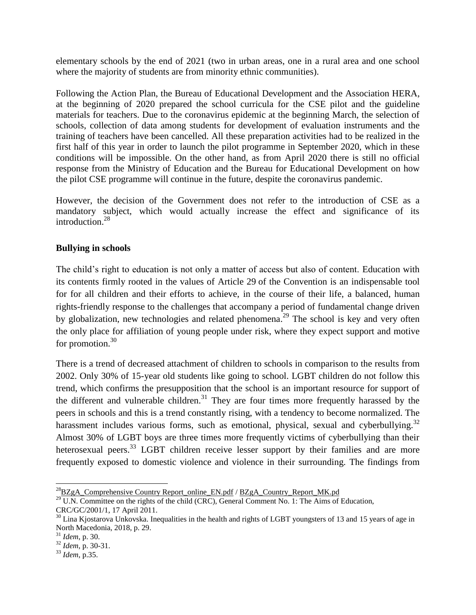elementary schools by the end of 2021 (two in urban areas, one in a rural area and one school where the majority of students are from minority ethnic communities).

Following the Action Plan, the Bureau of Educational Development and the Association HERA, at the beginning of 2020 prepared the school curricula for the CSE pilot and the guideline materials for teachers. Due to the coronavirus epidemic at the beginning March, the selection of schools, collection of data among students for development of evaluation instruments and the training of teachers have been cancelled. All these preparation activities had to be realized in the first half of this year in order to launch the pilot programme in September 2020, which in these conditions will be impossible. On the other hand, as from April 2020 there is still no official response from the Ministry of Education and the Bureau for Educational Development on how the pilot CSE programme will continue in the future, despite the coronavirus pandemic.

However, the decision of the Government does not refer to the introduction of CSE as a mandatory subject, which would actually increase the effect and significance of its introduction. 28

# **Bullying in schools**

The child"s right to education is not only a matter of access but also of content. Education with its contents firmly rooted in the values of Article 29 of the Convention is an indispensable tool for for all children and their efforts to achieve, in the course of their life, a balanced, human rights-friendly response to the challenges that accompany a period of fundamental change driven by globalization, new technologies and related phenomena.<sup>29</sup> The school is key and very often the only place for affiliation of young people under risk, where they expect support and motive for promotion.<sup>30</sup>

There is a trend of decreased attachment of children to schools in comparison to the results from 2002. Only 30% of 15-year old students like going to school. LGBT children do not follow this trend, which confirms the presupposition that the school is an important resource for support of the different and vulnerable children. $31$  They are four times more frequently harassed by the peers in schools and this is a trend constantly rising, with a tendency to become normalized. The harassment includes various forms, such as emotional, physical, sexual and cyberbullying. $32$ Almost 30% of LGBT boys are three times more frequently victims of cyberbullying than their heterosexual peers.<sup>33</sup> LGBT children receive lesser support by their families and are more frequently exposed to domestic violence and violence in their surrounding. The findings from

 $\overline{a}$ 

<sup>&</sup>lt;sup>28</sup>[BZgA\\_Comprehensive Country Report\\_online\\_EN.pdf](https://www.bzga-whocc.de/fileadmin/user_upload/Dokumente/BZgA_Comprehensive%20Country%20Report_online_EN.pdf) / BZgA\_Country\_Report\_MK.pd

<sup>&</sup>lt;sup>29</sup> U.N. Committee on the rights of the child (CRC), General Comment No. 1: The Aims of Education,

CRC/GC/2001/1, 17 April 2011.

<sup>&</sup>lt;sup>30</sup> Lina Kjostarova Unkovska. Inequalities in the health and rights of LGBT youngsters of 13 and 15 years of age in North Macedonia, 2018, p. 29.

<sup>31</sup> *Idem*, p. 30.

<sup>32</sup> *Idem*, p. 30-31.

<sup>33</sup> *Idem*, p.35.